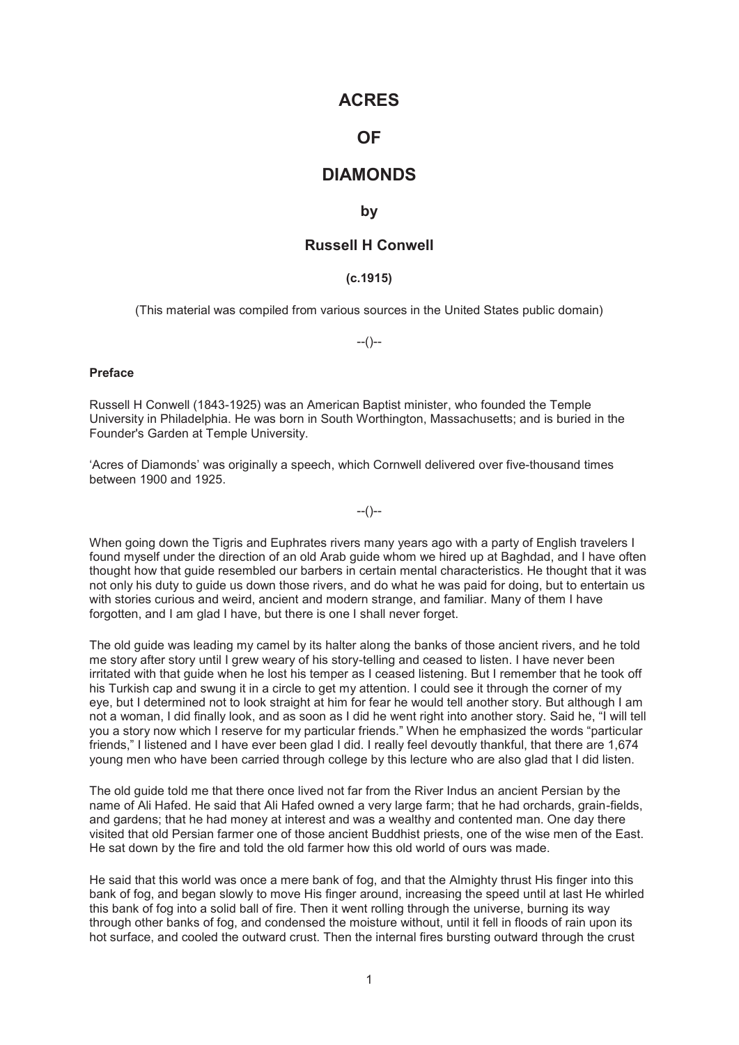### **ACRES**

# **OF**

## **DIAMONDS**

#### **by**

### **Russell H Conwell**

#### **(c.1915)**

(This material was compiled from various sources in the United States public domain)

 $-(-)$ 

#### **Preface**

Russell H Conwell (1843-1925) was an American Baptist minister, who founded the Temple University in Philadelphia. He was born in South Worthington, Massachusetts; and is buried in the Founder's Garden at Temple University.

'Acres of Diamonds' was originally a speech, which Cornwell delivered over five-thousand times between 1900 and 1925.

--()--

When going down the Tigris and Euphrates rivers many years ago with a party of English travelers I found myself under the direction of an old Arab guide whom we hired up at Baghdad, and I have often thought how that guide resembled our barbers in certain mental characteristics. He thought that it was not only his duty to guide us down those rivers, and do what he was paid for doing, but to entertain us with stories curious and weird, ancient and modern strange, and familiar. Many of them I have forgotten, and I am glad I have, but there is one I shall never forget.

The old guide was leading my camel by its halter along the banks of those ancient rivers, and he told me story after story until I grew weary of his story-telling and ceased to listen. I have never been irritated with that guide when he lost his temper as I ceased listening. But I remember that he took off his Turkish cap and swung it in a circle to get my attention. I could see it through the corner of my eye, but I determined not to look straight at him for fear he would tell another story. But although I am not a woman, I did finally look, and as soon as I did he went right into another story. Said he, "I will tell you a story now which I reserve for my particular friends." When he emphasized the words "particular friends," I listened and I have ever been glad I did. I really feel devoutly thankful, that there are 1,674 young men who have been carried through college by this lecture who are also glad that I did listen.

The old guide told me that there once lived not far from the River Indus an ancient Persian by the name of Ali Hafed. He said that Ali Hafed owned a very large farm; that he had orchards, grain-fields, and gardens; that he had money at interest and was a wealthy and contented man. One day there visited that old Persian farmer one of those ancient Buddhist priests, one of the wise men of the East. He sat down by the fire and told the old farmer how this old world of ours was made.

He said that this world was once a mere bank of fog, and that the Almighty thrust His finger into this bank of fog, and began slowly to move His finger around, increasing the speed until at last He whirled this bank of fog into a solid ball of fire. Then it went rolling through the universe, burning its way through other banks of fog, and condensed the moisture without, until it fell in floods of rain upon its hot surface, and cooled the outward crust. Then the internal fires bursting outward through the crust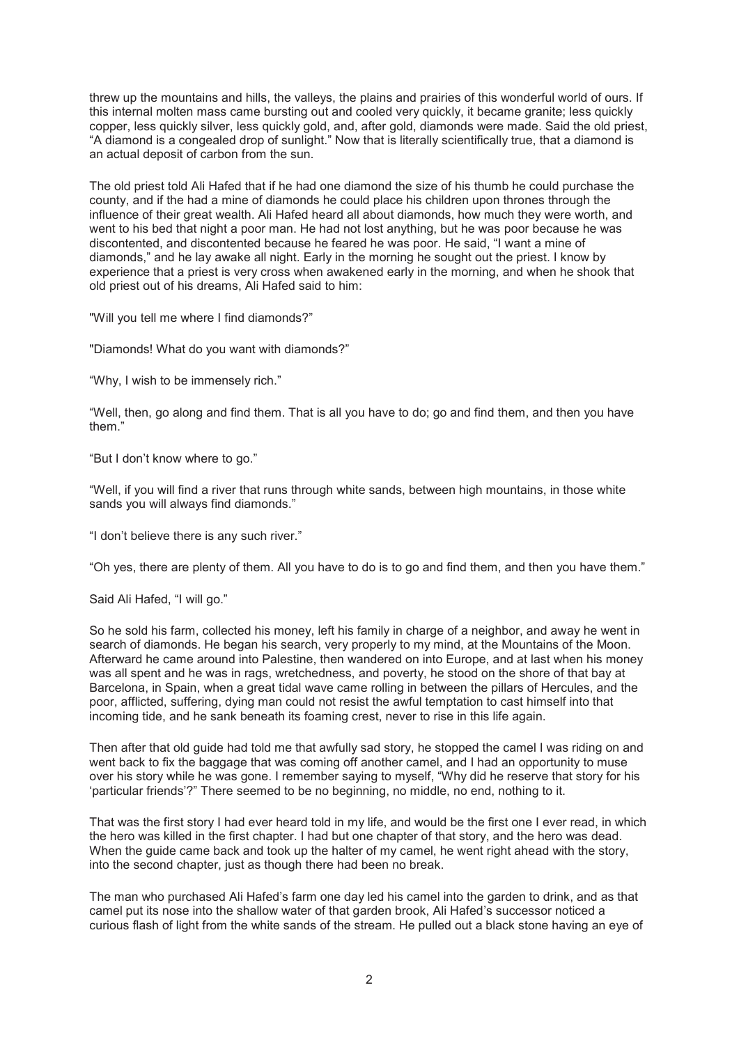threw up the mountains and hills, the valleys, the plains and prairies of this wonderful world of ours. If this internal molten mass came bursting out and cooled very quickly, it became granite; less quickly copper, less quickly silver, less quickly gold, and, after gold, diamonds were made. Said the old priest, "A diamond is a congealed drop of sunlight." Now that is literally scientifically true, that a diamond is an actual deposit of carbon from the sun.

The old priest told Ali Hafed that if he had one diamond the size of his thumb he could purchase the county, and if the had a mine of diamonds he could place his children upon thrones through the influence of their great wealth. Ali Hafed heard all about diamonds, how much they were worth, and went to his bed that night a poor man. He had not lost anything, but he was poor because he was discontented, and discontented because he feared he was poor. He said, "I want a mine of diamonds," and he lay awake all night. Early in the morning he sought out the priest. I know by experience that a priest is very cross when awakened early in the morning, and when he shook that old priest out of his dreams, Ali Hafed said to him:

"Will you tell me where I find diamonds?"

"Diamonds! What do you want with diamonds?"

"Why, I wish to be immensely rich."

"Well, then, go along and find them. That is all you have to do; go and find them, and then you have them."

"But I don't know where to go."

"Well, if you will find a river that runs through white sands, between high mountains, in those white sands you will always find diamonds."

"I don't believe there is any such river."

"Oh yes, there are plenty of them. All you have to do is to go and find them, and then you have them."

Said Ali Hafed, "I will go."

So he sold his farm, collected his money, left his family in charge of a neighbor, and away he went in search of diamonds. He began his search, very properly to my mind, at the Mountains of the Moon. Afterward he came around into Palestine, then wandered on into Europe, and at last when his money was all spent and he was in rags, wretchedness, and poverty, he stood on the shore of that bay at Barcelona, in Spain, when a great tidal wave came rolling in between the pillars of Hercules, and the poor, afflicted, suffering, dying man could not resist the awful temptation to cast himself into that incoming tide, and he sank beneath its foaming crest, never to rise in this life again.

Then after that old guide had told me that awfully sad story, he stopped the camel I was riding on and went back to fix the baggage that was coming off another camel, and I had an opportunity to muse over his story while he was gone. I remember saying to myself, "Why did he reserve that story for his 'particular friends'?" There seemed to be no beginning, no middle, no end, nothing to it.

That was the first story I had ever heard told in my life, and would be the first one I ever read, in which the hero was killed in the first chapter. I had but one chapter of that story, and the hero was dead. When the guide came back and took up the halter of my camel, he went right ahead with the story, into the second chapter, just as though there had been no break.

The man who purchased Ali Hafed's farm one day led his camel into the garden to drink, and as that camel put its nose into the shallow water of that garden brook, Ali Hafed's successor noticed a curious flash of light from the white sands of the stream. He pulled out a black stone having an eye of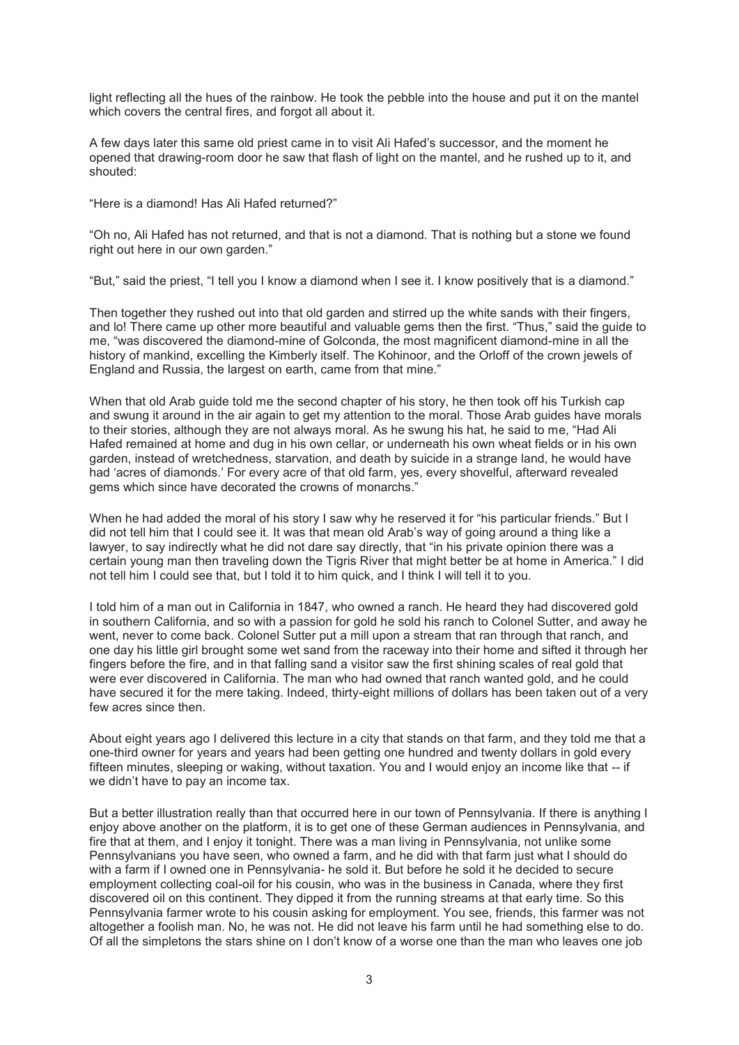light reflecting all the hues of the rainbow. He took the pebble into the house and put it on the mantel which covers the central fires, and forgot all about it.

A few days later this same old priest came in to visit Ali Hafed's successor, and the moment he opened that drawing-room door he saw that flash of light on the mantel, and he rushed up to it, and shouted:

"Here is a diamond! Has Ali Hafed returned?"

"Oh no, Ali Hafed has not returned, and that is not a diamond. That is nothing but a stone we found right out here in our own garden."

"But," said the priest, "I tell you I know a diamond when I see it. I know positively that is a diamond."

Then together they rushed out into that old garden and stirred up the white sands with their fingers, and lo! There came up other more beautiful and valuable gems then the first. "Thus," said the guide to me, "was discovered the diamond-mine of Golconda, the most magnificent diamond-mine in all the history of mankind, excelling the Kimberly itself. The Kohinoor, and the Orloff of the crown jewels of England and Russia, the largest on earth, came from that mine."

When that old Arab guide told me the second chapter of his story, he then took off his Turkish cap and swung it around in the air again to get my attention to the moral. Those Arab guides have morals to their stories, although they are not always moral. As he swung his hat, he said to me, "Had Ali Hafed remained at home and dug in his own cellar, or underneath his own wheat fields or in his own garden, instead of wretchedness, starvation, and death by suicide in a strange land, he would have had 'acres of diamonds.' For every acre of that old farm, yes, every shovelful, afterward revealed gems which since have decorated the crowns of monarchs."

When he had added the moral of his story I saw why he reserved it for "his particular friends." But I did not tell him that I could see it. It was that mean old Arab's way of going around a thing like a lawyer, to say indirectly what he did not dare say directly, that "in his private opinion there was a certain young man then traveling down the Tigris River that might better be at home in America." I did not tell him I could see that, but I told it to him quick, and I think I will tell it to you.

I told him of a man out in California in 1847, who owned a ranch. He heard they had discovered gold in southern California, and so with a passion for gold he sold his ranch to Colonel Sutter, and away he went, never to come back. Colonel Sutter put a mill upon a stream that ran through that ranch, and one day his little girl brought some wet sand from the raceway into their home and sifted it through her fingers before the fire, and in that falling sand a visitor saw the first shining scales of real gold that were ever discovered in California. The man who had owned that ranch wanted gold, and he could have secured it for the mere taking. Indeed, thirty-eight millions of dollars has been taken out of a very few acres since then.

About eight years ago I delivered this lecture in a city that stands on that farm, and they told me that a one-third owner for years and years had been getting one hundred and twenty dollars in gold every fifteen minutes, sleeping or waking, without taxation. You and I would enjoy an income like that -- if we didn't have to pay an income tax.

But a better illustration really than that occurred here in our town of Pennsylvania. If there is anything I enjoy above another on the platform, it is to get one of these German audiences in Pennsylvania, and fire that at them, and I enjoy it tonight. There was a man living in Pennsylvania, not unlike some Pennsylvanians you have seen, who owned a farm, and he did with that farm just what I should do with a farm if I owned one in Pennsylvania- he sold it. But before he sold it he decided to secure employment collecting coal-oil for his cousin, who was in the business in Canada, where they first discovered oil on this continent. They dipped it from the running streams at that early time. So this Pennsylvania farmer wrote to his cousin asking for employment. You see, friends, this farmer was not altogether a foolish man. No, he was not. He did not leave his farm until he had something else to do. Of all the simpletons the stars shine on I don't know of a worse one than the man who leaves one job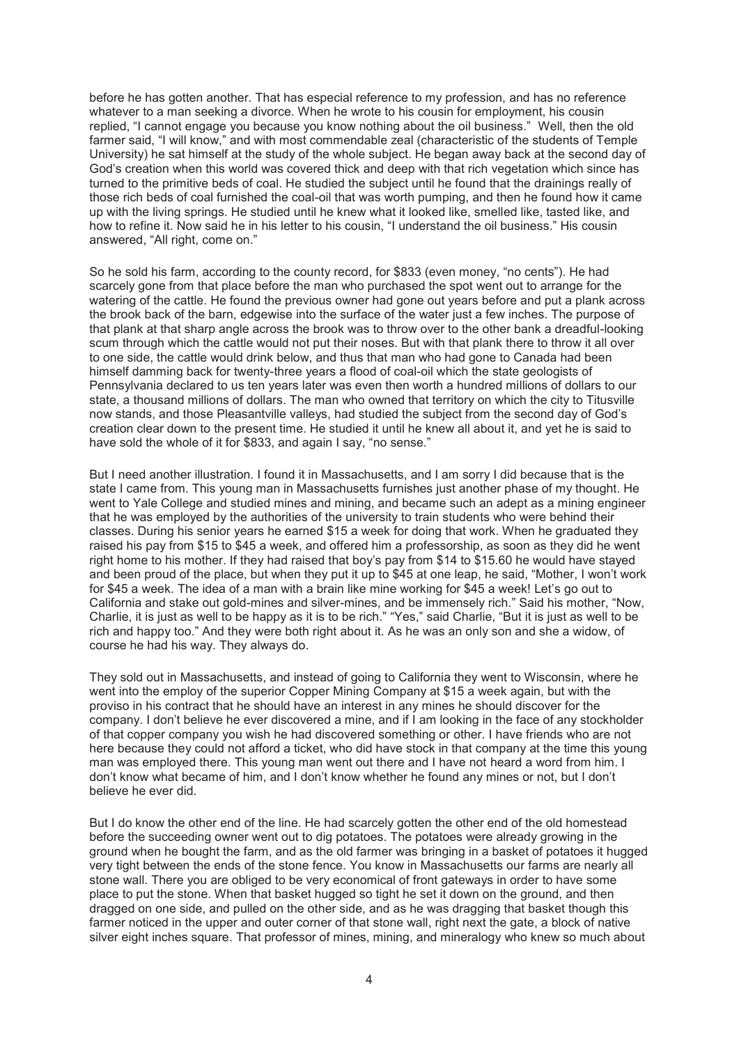before he has gotten another. That has especial reference to my profession, and has no reference whatever to a man seeking a divorce. When he wrote to his cousin for employment, his cousin replied, "I cannot engage you because you know nothing about the oil business." Well, then the old farmer said, "I will know," and with most commendable zeal (characteristic of the students of Temple University) he sat himself at the study of the whole subject. He began away back at the second day of God's creation when this world was covered thick and deep with that rich vegetation which since has turned to the primitive beds of coal. He studied the subject until he found that the drainings really of those rich beds of coal furnished the coal-oil that was worth pumping, and then he found how it came up with the living springs. He studied until he knew what it looked like, smelled like, tasted like, and how to refine it. Now said he in his letter to his cousin, "I understand the oil business." His cousin answered, "All right, come on."

So he sold his farm, according to the county record, for \$833 (even money, "no cents"). He had scarcely gone from that place before the man who purchased the spot went out to arrange for the watering of the cattle. He found the previous owner had gone out years before and put a plank across the brook back of the barn, edgewise into the surface of the water just a few inches. The purpose of that plank at that sharp angle across the brook was to throw over to the other bank a dreadful-looking scum through which the cattle would not put their noses. But with that plank there to throw it all over to one side, the cattle would drink below, and thus that man who had gone to Canada had been himself damming back for twenty-three years a flood of coal-oil which the state geologists of Pennsylvania declared to us ten years later was even then worth a hundred millions of dollars to our state, a thousand millions of dollars. The man who owned that territory on which the city to Titusville now stands, and those Pleasantville valleys, had studied the subject from the second day of God's creation clear down to the present time. He studied it until he knew all about it, and yet he is said to have sold the whole of it for \$833, and again I say, "no sense."

But I need another illustration. I found it in Massachusetts, and I am sorry I did because that is the state I came from. This young man in Massachusetts furnishes just another phase of my thought. He went to Yale College and studied mines and mining, and became such an adept as a mining engineer that he was employed by the authorities of the university to train students who were behind their classes. During his senior years he earned \$15 a week for doing that work. When he graduated they raised his pay from \$15 to \$45 a week, and offered him a professorship, as soon as they did he went right home to his mother. If they had raised that boy's pay from \$14 to \$15.60 he would have stayed and been proud of the place, but when they put it up to \$45 at one leap, he said, "Mother, I won't work for \$45 a week. The idea of a man with a brain like mine working for \$45 a week! Let's go out to California and stake out gold-mines and silver-mines, and be immensely rich." Said his mother, "Now, Charlie, it is just as well to be happy as it is to be rich." "Yes," said Charlie, "But it is just as well to be rich and happy too." And they were both right about it. As he was an only son and she a widow, of course he had his way. They always do.

They sold out in Massachusetts, and instead of going to California they went to Wisconsin, where he went into the employ of the superior Copper Mining Company at \$15 a week again, but with the proviso in his contract that he should have an interest in any mines he should discover for the company. I don't believe he ever discovered a mine, and if I am looking in the face of any stockholder of that copper company you wish he had discovered something or other. I have friends who are not here because they could not afford a ticket, who did have stock in that company at the time this young man was employed there. This young man went out there and I have not heard a word from him. I don't know what became of him, and I don't know whether he found any mines or not, but I don't believe he ever did.

But I do know the other end of the line. He had scarcely gotten the other end of the old homestead before the succeeding owner went out to dig potatoes. The potatoes were already growing in the ground when he bought the farm, and as the old farmer was bringing in a basket of potatoes it hugged very tight between the ends of the stone fence. You know in Massachusetts our farms are nearly all stone wall. There you are obliged to be very economical of front gateways in order to have some place to put the stone. When that basket hugged so tight he set it down on the ground, and then dragged on one side, and pulled on the other side, and as he was dragging that basket though this farmer noticed in the upper and outer corner of that stone wall, right next the gate, a block of native silver eight inches square. That professor of mines, mining, and mineralogy who knew so much about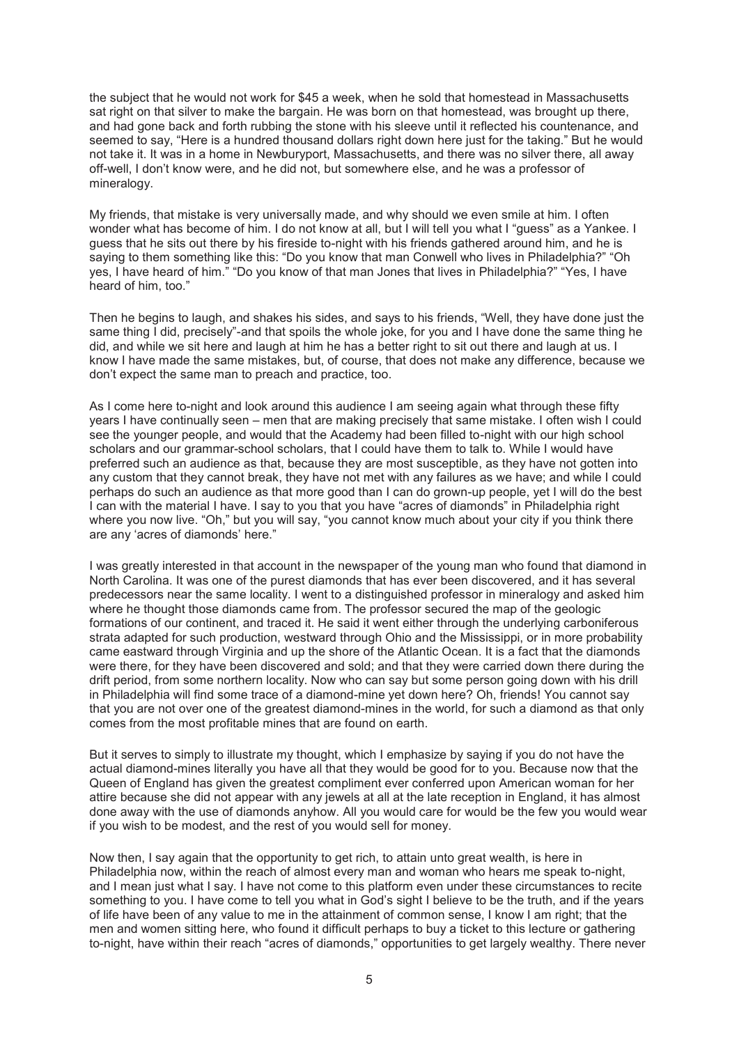the subject that he would not work for \$45 a week, when he sold that homestead in Massachusetts sat right on that silver to make the bargain. He was born on that homestead, was brought up there, and had gone back and forth rubbing the stone with his sleeve until it reflected his countenance, and seemed to say, "Here is a hundred thousand dollars right down here just for the taking." But he would not take it. It was in a home in Newburyport, Massachusetts, and there was no silver there, all away off-well, I don't know were, and he did not, but somewhere else, and he was a professor of mineralogy.

My friends, that mistake is very universally made, and why should we even smile at him. I often wonder what has become of him. I do not know at all, but I will tell you what I "guess" as a Yankee. I guess that he sits out there by his fireside to-night with his friends gathered around him, and he is saying to them something like this: "Do you know that man Conwell who lives in Philadelphia?" "Oh yes, I have heard of him." "Do you know of that man Jones that lives in Philadelphia?" "Yes, I have heard of him, too."

Then he begins to laugh, and shakes his sides, and says to his friends, "Well, they have done just the same thing I did, precisely"-and that spoils the whole joke, for you and I have done the same thing he did, and while we sit here and laugh at him he has a better right to sit out there and laugh at us. I know I have made the same mistakes, but, of course, that does not make any difference, because we don't expect the same man to preach and practice, too.

As I come here to-night and look around this audience I am seeing again what through these fifty years I have continually seen – men that are making precisely that same mistake. I often wish I could see the younger people, and would that the Academy had been filled to-night with our high school scholars and our grammar-school scholars, that I could have them to talk to. While I would have preferred such an audience as that, because they are most susceptible, as they have not gotten into any custom that they cannot break, they have not met with any failures as we have; and while I could perhaps do such an audience as that more good than I can do grown-up people, yet I will do the best I can with the material I have. I say to you that you have "acres of diamonds" in Philadelphia right where you now live. "Oh," but you will say, "you cannot know much about your city if you think there are any 'acres of diamonds' here."

I was greatly interested in that account in the newspaper of the young man who found that diamond in North Carolina. It was one of the purest diamonds that has ever been discovered, and it has several predecessors near the same locality. I went to a distinguished professor in mineralogy and asked him where he thought those diamonds came from. The professor secured the map of the geologic formations of our continent, and traced it. He said it went either through the underlying carboniferous strata adapted for such production, westward through Ohio and the Mississippi, or in more probability came eastward through Virginia and up the shore of the Atlantic Ocean. It is a fact that the diamonds were there, for they have been discovered and sold; and that they were carried down there during the drift period, from some northern locality. Now who can say but some person going down with his drill in Philadelphia will find some trace of a diamond-mine yet down here? Oh, friends! You cannot say that you are not over one of the greatest diamond-mines in the world, for such a diamond as that only comes from the most profitable mines that are found on earth.

But it serves to simply to illustrate my thought, which I emphasize by saying if you do not have the actual diamond-mines literally you have all that they would be good for to you. Because now that the Queen of England has given the greatest compliment ever conferred upon American woman for her attire because she did not appear with any jewels at all at the late reception in England, it has almost done away with the use of diamonds anyhow. All you would care for would be the few you would wear if you wish to be modest, and the rest of you would sell for money.

Now then, I say again that the opportunity to get rich, to attain unto great wealth, is here in Philadelphia now, within the reach of almost every man and woman who hears me speak to-night, and I mean just what I say. I have not come to this platform even under these circumstances to recite something to you. I have come to tell you what in God's sight I believe to be the truth, and if the years of life have been of any value to me in the attainment of common sense, I know I am right; that the men and women sitting here, who found it difficult perhaps to buy a ticket to this lecture or gathering to-night, have within their reach "acres of diamonds," opportunities to get largely wealthy. There never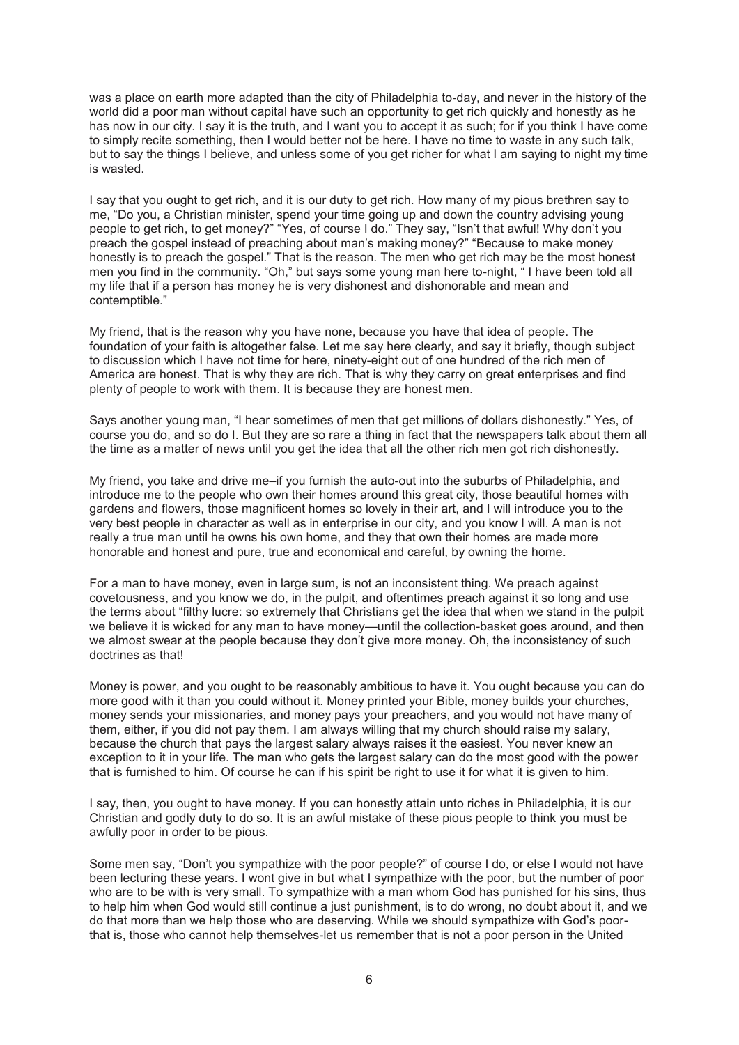was a place on earth more adapted than the city of Philadelphia to-day, and never in the history of the world did a poor man without capital have such an opportunity to get rich quickly and honestly as he has now in our city. I say it is the truth, and I want you to accept it as such; for if you think I have come to simply recite something, then I would better not be here. I have no time to waste in any such talk, but to say the things I believe, and unless some of you get richer for what I am saying to night my time is wasted.

I say that you ought to get rich, and it is our duty to get rich. How many of my pious brethren say to me, "Do you, a Christian minister, spend your time going up and down the country advising young people to get rich, to get money?" "Yes, of course I do." They say, "Isn't that awful! Why don't you preach the gospel instead of preaching about man's making money?" "Because to make money honestly is to preach the gospel." That is the reason. The men who get rich may be the most honest men you find in the community. "Oh," but says some young man here to-night, " I have been told all my life that if a person has money he is very dishonest and dishonorable and mean and contemptible."

My friend, that is the reason why you have none, because you have that idea of people. The foundation of your faith is altogether false. Let me say here clearly, and say it briefly, though subject to discussion which I have not time for here, ninety-eight out of one hundred of the rich men of America are honest. That is why they are rich. That is why they carry on great enterprises and find plenty of people to work with them. It is because they are honest men.

Says another young man, "I hear sometimes of men that get millions of dollars dishonestly." Yes, of course you do, and so do I. But they are so rare a thing in fact that the newspapers talk about them all the time as a matter of news until you get the idea that all the other rich men got rich dishonestly.

My friend, you take and drive me–if you furnish the auto-out into the suburbs of Philadelphia, and introduce me to the people who own their homes around this great city, those beautiful homes with gardens and flowers, those magnificent homes so lovely in their art, and I will introduce you to the very best people in character as well as in enterprise in our city, and you know I will. A man is not really a true man until he owns his own home, and they that own their homes are made more honorable and honest and pure, true and economical and careful, by owning the home.

For a man to have money, even in large sum, is not an inconsistent thing. We preach against covetousness, and you know we do, in the pulpit, and oftentimes preach against it so long and use the terms about "filthy lucre: so extremely that Christians get the idea that when we stand in the pulpit we believe it is wicked for any man to have money—until the collection-basket goes around, and then we almost swear at the people because they don't give more money. Oh, the inconsistency of such doctrines as that!

Money is power, and you ought to be reasonably ambitious to have it. You ought because you can do more good with it than you could without it. Money printed your Bible, money builds your churches, money sends your missionaries, and money pays your preachers, and you would not have many of them, either, if you did not pay them. I am always willing that my church should raise my salary, because the church that pays the largest salary always raises it the easiest. You never knew an exception to it in your life. The man who gets the largest salary can do the most good with the power that is furnished to him. Of course he can if his spirit be right to use it for what it is given to him.

I say, then, you ought to have money. If you can honestly attain unto riches in Philadelphia, it is our Christian and godly duty to do so. It is an awful mistake of these pious people to think you must be awfully poor in order to be pious.

Some men say, "Don't you sympathize with the poor people?" of course I do, or else I would not have been lecturing these years. I wont give in but what I sympathize with the poor, but the number of poor who are to be with is very small. To sympathize with a man whom God has punished for his sins, thus to help him when God would still continue a just punishment, is to do wrong, no doubt about it, and we do that more than we help those who are deserving. While we should sympathize with God's poorthat is, those who cannot help themselves-let us remember that is not a poor person in the United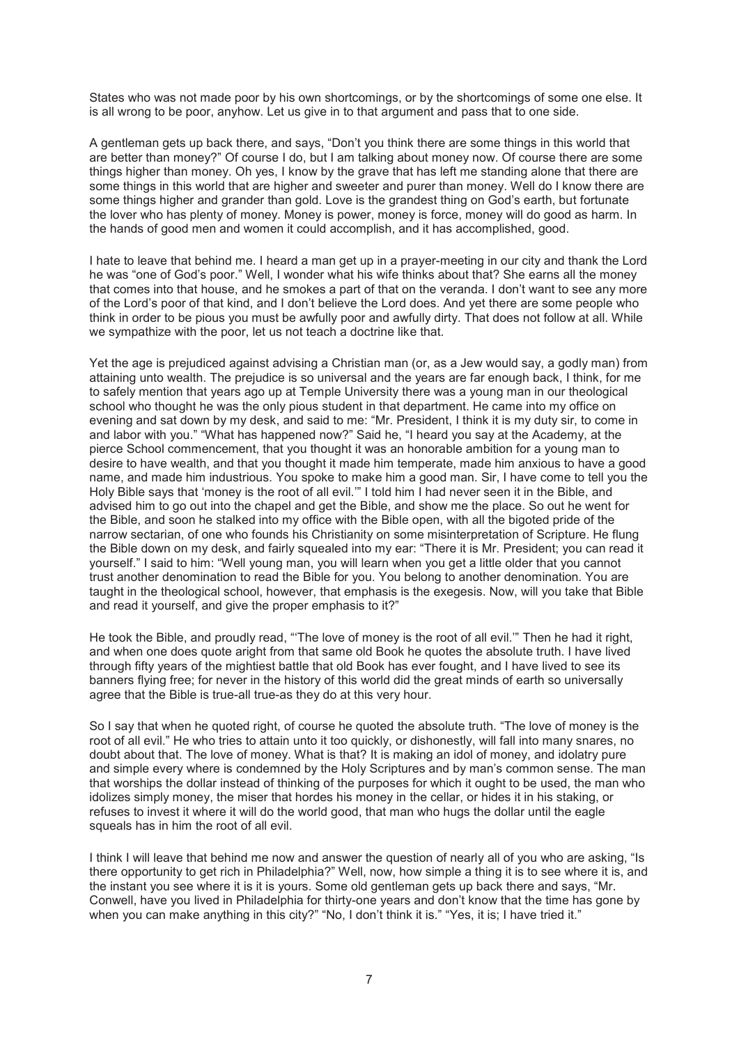States who was not made poor by his own shortcomings, or by the shortcomings of some one else. It is all wrong to be poor, anyhow. Let us give in to that argument and pass that to one side.

A gentleman gets up back there, and says, "Don't you think there are some things in this world that are better than money?" Of course I do, but I am talking about money now. Of course there are some things higher than money. Oh yes, I know by the grave that has left me standing alone that there are some things in this world that are higher and sweeter and purer than money. Well do I know there are some things higher and grander than gold. Love is the grandest thing on God's earth, but fortunate the lover who has plenty of money. Money is power, money is force, money will do good as harm. In the hands of good men and women it could accomplish, and it has accomplished, good.

I hate to leave that behind me. I heard a man get up in a prayer-meeting in our city and thank the Lord he was "one of God's poor." Well, I wonder what his wife thinks about that? She earns all the money that comes into that house, and he smokes a part of that on the veranda. I don't want to see any more of the Lord's poor of that kind, and I don't believe the Lord does. And yet there are some people who think in order to be pious you must be awfully poor and awfully dirty. That does not follow at all. While we sympathize with the poor, let us not teach a doctrine like that.

Yet the age is prejudiced against advising a Christian man (or, as a Jew would say, a godly man) from attaining unto wealth. The prejudice is so universal and the years are far enough back, I think, for me to safely mention that years ago up at Temple University there was a young man in our theological school who thought he was the only pious student in that department. He came into my office on evening and sat down by my desk, and said to me: "Mr. President, I think it is my duty sir, to come in and labor with you." "What has happened now?" Said he, "I heard you say at the Academy, at the pierce School commencement, that you thought it was an honorable ambition for a young man to desire to have wealth, and that you thought it made him temperate, made him anxious to have a good name, and made him industrious. You spoke to make him a good man. Sir, I have come to tell you the Holy Bible says that 'money is the root of all evil.'" I told him I had never seen it in the Bible, and advised him to go out into the chapel and get the Bible, and show me the place. So out he went for the Bible, and soon he stalked into my office with the Bible open, with all the bigoted pride of the narrow sectarian, of one who founds his Christianity on some misinterpretation of Scripture. He flung the Bible down on my desk, and fairly squealed into my ear: "There it is Mr. President; you can read it yourself." I said to him: "Well young man, you will learn when you get a little older that you cannot trust another denomination to read the Bible for you. You belong to another denomination. You are taught in the theological school, however, that emphasis is the exegesis. Now, will you take that Bible and read it yourself, and give the proper emphasis to it?"

He took the Bible, and proudly read, "'The love of money is the root of all evil.'" Then he had it right, and when one does quote aright from that same old Book he quotes the absolute truth. I have lived through fifty years of the mightiest battle that old Book has ever fought, and I have lived to see its banners flying free; for never in the history of this world did the great minds of earth so universally agree that the Bible is true-all true-as they do at this very hour.

So I say that when he quoted right, of course he quoted the absolute truth. "The love of money is the root of all evil." He who tries to attain unto it too quickly, or dishonestly, will fall into many snares, no doubt about that. The love of money. What is that? It is making an idol of money, and idolatry pure and simple every where is condemned by the Holy Scriptures and by man's common sense. The man that worships the dollar instead of thinking of the purposes for which it ought to be used, the man who idolizes simply money, the miser that hordes his money in the cellar, or hides it in his staking, or refuses to invest it where it will do the world good, that man who hugs the dollar until the eagle squeals has in him the root of all evil.

I think I will leave that behind me now and answer the question of nearly all of you who are asking, "Is there opportunity to get rich in Philadelphia?" Well, now, how simple a thing it is to see where it is, and the instant you see where it is it is yours. Some old gentleman gets up back there and says, "Mr. Conwell, have you lived in Philadelphia for thirty-one years and don't know that the time has gone by when you can make anything in this city?" "No, I don't think it is." "Yes, it is; I have tried it."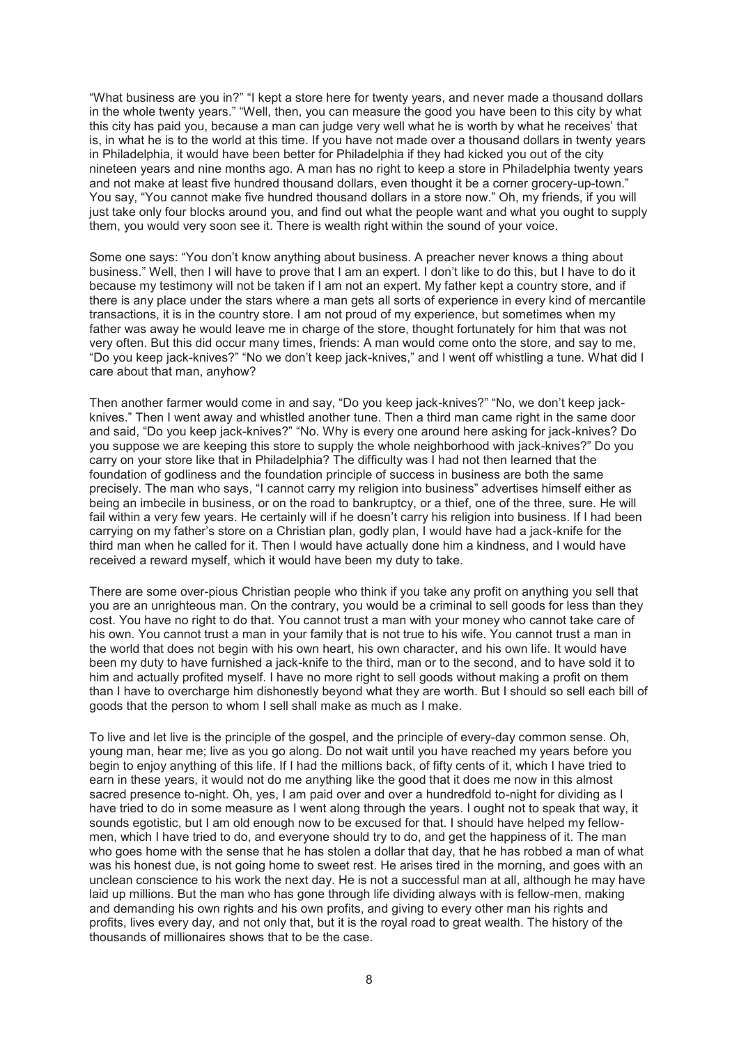"What business are you in?" "I kept a store here for twenty years, and never made a thousand dollars in the whole twenty years." "Well, then, you can measure the good you have been to this city by what this city has paid you, because a man can judge very well what he is worth by what he receives' that is, in what he is to the world at this time. If you have not made over a thousand dollars in twenty years in Philadelphia, it would have been better for Philadelphia if they had kicked you out of the city nineteen years and nine months ago. A man has no right to keep a store in Philadelphia twenty years and not make at least five hundred thousand dollars, even thought it be a corner grocery-up-town." You say, "You cannot make five hundred thousand dollars in a store now." Oh, my friends, if you will just take only four blocks around you, and find out what the people want and what you ought to supply them, you would very soon see it. There is wealth right within the sound of your voice.

Some one says: "You don't know anything about business. A preacher never knows a thing about business." Well, then I will have to prove that I am an expert. I don't like to do this, but I have to do it because my testimony will not be taken if I am not an expert. My father kept a country store, and if there is any place under the stars where a man gets all sorts of experience in every kind of mercantile transactions, it is in the country store. I am not proud of my experience, but sometimes when my father was away he would leave me in charge of the store, thought fortunately for him that was not very often. But this did occur many times, friends: A man would come onto the store, and say to me, "Do you keep jack-knives?" "No we don't keep jack-knives," and I went off whistling a tune. What did I care about that man, anyhow?

Then another farmer would come in and say, "Do you keep jack-knives?" "No, we don't keep jackknives." Then I went away and whistled another tune. Then a third man came right in the same door and said, "Do you keep jack-knives?" "No. Why is every one around here asking for jack-knives? Do you suppose we are keeping this store to supply the whole neighborhood with jack-knives?" Do you carry on your store like that in Philadelphia? The difficulty was I had not then learned that the foundation of godliness and the foundation principle of success in business are both the same precisely. The man who says, "I cannot carry my religion into business" advertises himself either as being an imbecile in business, or on the road to bankruptcy, or a thief, one of the three, sure. He will fail within a very few years. He certainly will if he doesn't carry his religion into business. If I had been carrying on my father's store on a Christian plan, godly plan, I would have had a jack-knife for the third man when he called for it. Then I would have actually done him a kindness, and I would have received a reward myself, which it would have been my duty to take.

There are some over-pious Christian people who think if you take any profit on anything you sell that you are an unrighteous man. On the contrary, you would be a criminal to sell goods for less than they cost. You have no right to do that. You cannot trust a man with your money who cannot take care of his own. You cannot trust a man in your family that is not true to his wife. You cannot trust a man in the world that does not begin with his own heart, his own character, and his own life. It would have been my duty to have furnished a jack-knife to the third, man or to the second, and to have sold it to him and actually profited myself. I have no more right to sell goods without making a profit on them than I have to overcharge him dishonestly beyond what they are worth. But I should so sell each bill of goods that the person to whom I sell shall make as much as I make.

To live and let live is the principle of the gospel, and the principle of every-day common sense. Oh, young man, hear me; live as you go along. Do not wait until you have reached my years before you begin to enjoy anything of this life. If I had the millions back, of fifty cents of it, which I have tried to earn in these years, it would not do me anything like the good that it does me now in this almost sacred presence to-night. Oh, yes, I am paid over and over a hundredfold to-night for dividing as I have tried to do in some measure as I went along through the years. I ought not to speak that way, it sounds egotistic, but I am old enough now to be excused for that. I should have helped my fellowmen, which I have tried to do, and everyone should try to do, and get the happiness of it. The man who goes home with the sense that he has stolen a dollar that day, that he has robbed a man of what was his honest due, is not going home to sweet rest. He arises tired in the morning, and goes with an unclean conscience to his work the next day. He is not a successful man at all, although he may have laid up millions. But the man who has gone through life dividing always with is fellow-men, making and demanding his own rights and his own profits, and giving to every other man his rights and profits, lives every day, and not only that, but it is the royal road to great wealth. The history of the thousands of millionaires shows that to be the case.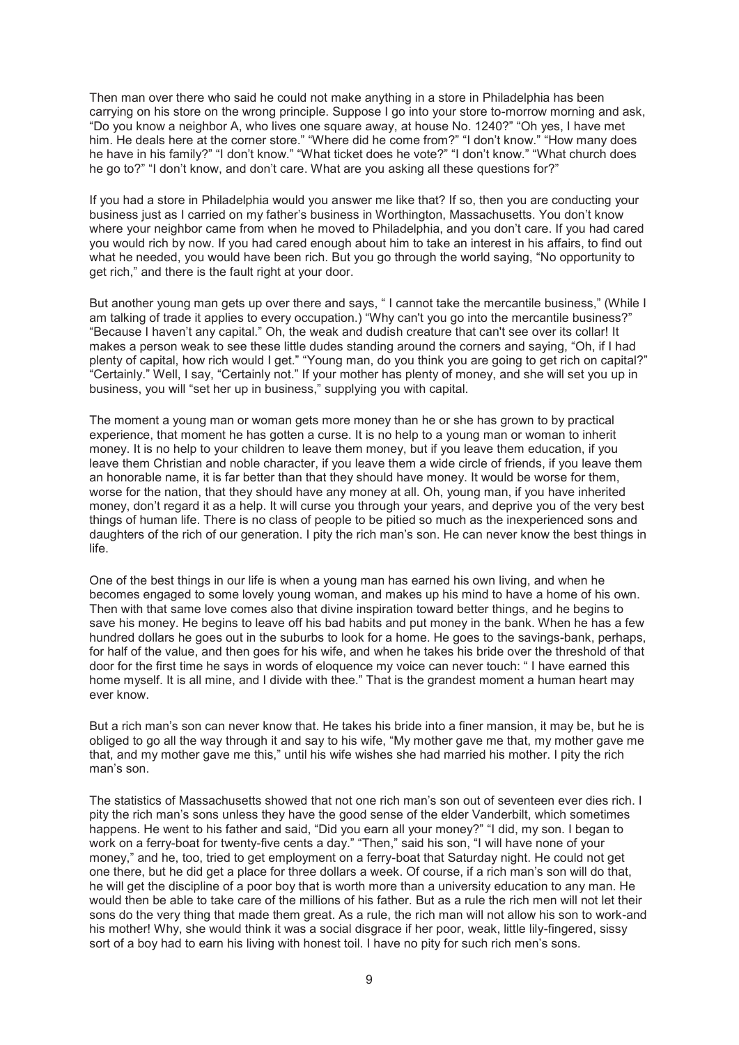Then man over there who said he could not make anything in a store in Philadelphia has been carrying on his store on the wrong principle. Suppose I go into your store to-morrow morning and ask, "Do you know a neighbor A, who lives one square away, at house No. 1240?" "Oh yes, I have met him. He deals here at the corner store." "Where did he come from?" "I don't know." "How many does he have in his family?" "I don't know." "What ticket does he vote?" "I don't know." "What church does he go to?" "I don't know, and don't care. What are you asking all these questions for?"

If you had a store in Philadelphia would you answer me like that? If so, then you are conducting your business just as I carried on my father's business in Worthington, Massachusetts. You don't know where your neighbor came from when he moved to Philadelphia, and you don't care. If you had cared you would rich by now. If you had cared enough about him to take an interest in his affairs, to find out what he needed, you would have been rich. But you go through the world saying, "No opportunity to get rich," and there is the fault right at your door.

But another young man gets up over there and says, " I cannot take the mercantile business," (While I am talking of trade it applies to every occupation.) "Why can't you go into the mercantile business?" "Because I haven't any capital." Oh, the weak and dudish creature that can't see over its collar! It makes a person weak to see these little dudes standing around the corners and saying, "Oh, if I had plenty of capital, how rich would I get." "Young man, do you think you are going to get rich on capital?" "Certainly." Well, I say, "Certainly not." If your mother has plenty of money, and she will set you up in business, you will "set her up in business," supplying you with capital.

The moment a young man or woman gets more money than he or she has grown to by practical experience, that moment he has gotten a curse. It is no help to a young man or woman to inherit money. It is no help to your children to leave them money, but if you leave them education, if you leave them Christian and noble character, if you leave them a wide circle of friends, if you leave them an honorable name, it is far better than that they should have money. It would be worse for them, worse for the nation, that they should have any money at all. Oh, young man, if you have inherited money, don't regard it as a help. It will curse you through your years, and deprive you of the very best things of human life. There is no class of people to be pitied so much as the inexperienced sons and daughters of the rich of our generation. I pity the rich man's son. He can never know the best things in life.

One of the best things in our life is when a young man has earned his own living, and when he becomes engaged to some lovely young woman, and makes up his mind to have a home of his own. Then with that same love comes also that divine inspiration toward better things, and he begins to save his money. He begins to leave off his bad habits and put money in the bank. When he has a few hundred dollars he goes out in the suburbs to look for a home. He goes to the savings-bank, perhaps, for half of the value, and then goes for his wife, and when he takes his bride over the threshold of that door for the first time he says in words of eloquence my voice can never touch: " I have earned this home myself. It is all mine, and I divide with thee." That is the grandest moment a human heart may ever know.

But a rich man's son can never know that. He takes his bride into a finer mansion, it may be, but he is obliged to go all the way through it and say to his wife, "My mother gave me that, my mother gave me that, and my mother gave me this," until his wife wishes she had married his mother. I pity the rich man's son.

The statistics of Massachusetts showed that not one rich man's son out of seventeen ever dies rich. I pity the rich man's sons unless they have the good sense of the elder Vanderbilt, which sometimes happens. He went to his father and said, "Did you earn all your money?" "I did, my son. I began to work on a ferry-boat for twenty-five cents a day." "Then," said his son, "I will have none of your money," and he, too, tried to get employment on a ferry-boat that Saturday night. He could not get one there, but he did get a place for three dollars a week. Of course, if a rich man's son will do that, he will get the discipline of a poor boy that is worth more than a university education to any man. He would then be able to take care of the millions of his father. But as a rule the rich men will not let their sons do the very thing that made them great. As a rule, the rich man will not allow his son to work-and his mother! Why, she would think it was a social disgrace if her poor, weak, little lily-fingered, sissy sort of a boy had to earn his living with honest toil. I have no pity for such rich men's sons.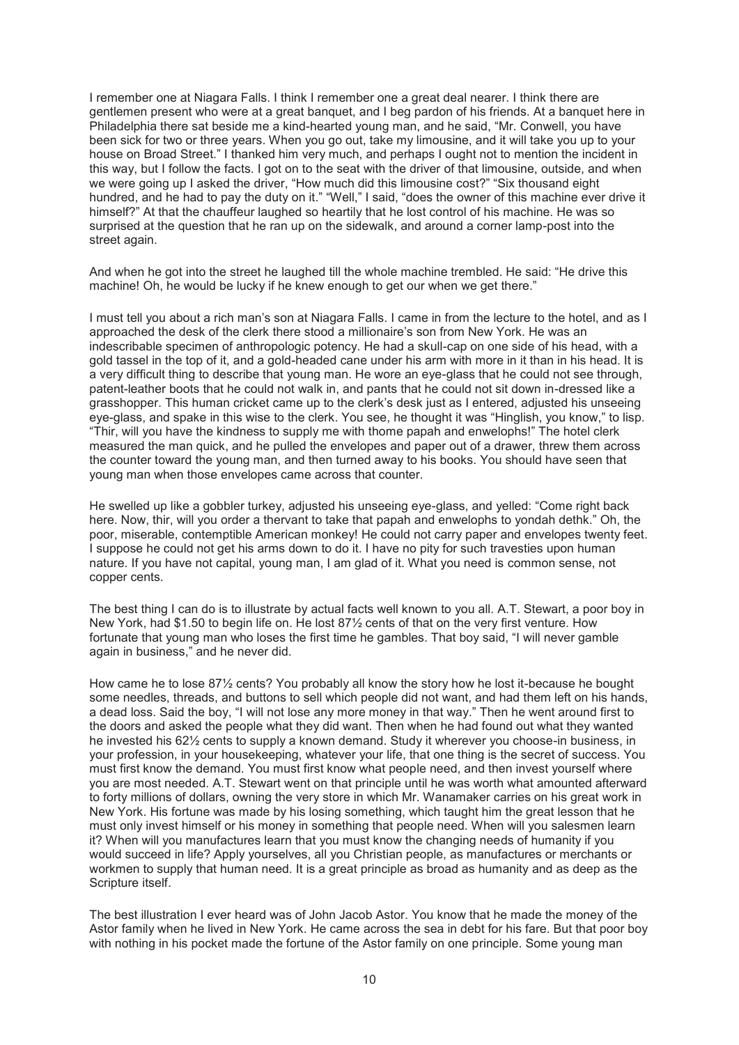I remember one at Niagara Falls. I think I remember one a great deal nearer. I think there are gentlemen present who were at a great banquet, and I beg pardon of his friends. At a banquet here in Philadelphia there sat beside me a kind-hearted young man, and he said, "Mr. Conwell, you have been sick for two or three years. When you go out, take my limousine, and it will take you up to your house on Broad Street." I thanked him very much, and perhaps I ought not to mention the incident in this way, but I follow the facts. I got on to the seat with the driver of that limousine, outside, and when we were going up I asked the driver, "How much did this limousine cost?" "Six thousand eight hundred, and he had to pay the duty on it." "Well," I said, "does the owner of this machine ever drive it himself?" At that the chauffeur laughed so heartily that he lost control of his machine. He was so surprised at the question that he ran up on the sidewalk, and around a corner lamp-post into the street again.

And when he got into the street he laughed till the whole machine trembled. He said: "He drive this machine! Oh, he would be lucky if he knew enough to get our when we get there."

I must tell you about a rich man's son at Niagara Falls. I came in from the lecture to the hotel, and as I approached the desk of the clerk there stood a millionaire's son from New York. He was an indescribable specimen of anthropologic potency. He had a skull-cap on one side of his head, with a gold tassel in the top of it, and a gold-headed cane under his arm with more in it than in his head. It is a very difficult thing to describe that young man. He wore an eye-glass that he could not see through, patent-leather boots that he could not walk in, and pants that he could not sit down in-dressed like a grasshopper. This human cricket came up to the clerk's desk just as I entered, adjusted his unseeing eye-glass, and spake in this wise to the clerk. You see, he thought it was "Hinglish, you know," to lisp. "Thir, will you have the kindness to supply me with thome papah and enwelophs!" The hotel clerk measured the man quick, and he pulled the envelopes and paper out of a drawer, threw them across the counter toward the young man, and then turned away to his books. You should have seen that young man when those envelopes came across that counter.

He swelled up like a gobbler turkey, adjusted his unseeing eye-glass, and yelled: "Come right back here. Now, thir, will you order a thervant to take that papah and enwelophs to yondah dethk." Oh, the poor, miserable, contemptible American monkey! He could not carry paper and envelopes twenty feet. I suppose he could not get his arms down to do it. I have no pity for such travesties upon human nature. If you have not capital, young man, I am glad of it. What you need is common sense, not copper cents.

The best thing I can do is to illustrate by actual facts well known to you all. A.T. Stewart, a poor boy in New York, had \$1.50 to begin life on. He lost 87½ cents of that on the very first venture. How fortunate that young man who loses the first time he gambles. That boy said, "I will never gamble again in business," and he never did.

How came he to lose 87<sup>1</sup>/<sub>2</sub> cents? You probably all know the story how he lost it-because he bought some needles, threads, and buttons to sell which people did not want, and had them left on his hands, a dead loss. Said the boy, "I will not lose any more money in that way." Then he went around first to the doors and asked the people what they did want. Then when he had found out what they wanted he invested his 62½ cents to supply a known demand. Study it wherever you choose-in business, in your profession, in your housekeeping, whatever your life, that one thing is the secret of success. You must first know the demand. You must first know what people need, and then invest yourself where you are most needed. A.T. Stewart went on that principle until he was worth what amounted afterward to forty millions of dollars, owning the very store in which Mr. Wanamaker carries on his great work in New York. His fortune was made by his losing something, which taught him the great lesson that he must only invest himself or his money in something that people need. When will you salesmen learn it? When will you manufactures learn that you must know the changing needs of humanity if you would succeed in life? Apply yourselves, all you Christian people, as manufactures or merchants or workmen to supply that human need. It is a great principle as broad as humanity and as deep as the Scripture itself.

The best illustration I ever heard was of John Jacob Astor. You know that he made the money of the Astor family when he lived in New York. He came across the sea in debt for his fare. But that poor boy with nothing in his pocket made the fortune of the Astor family on one principle. Some young man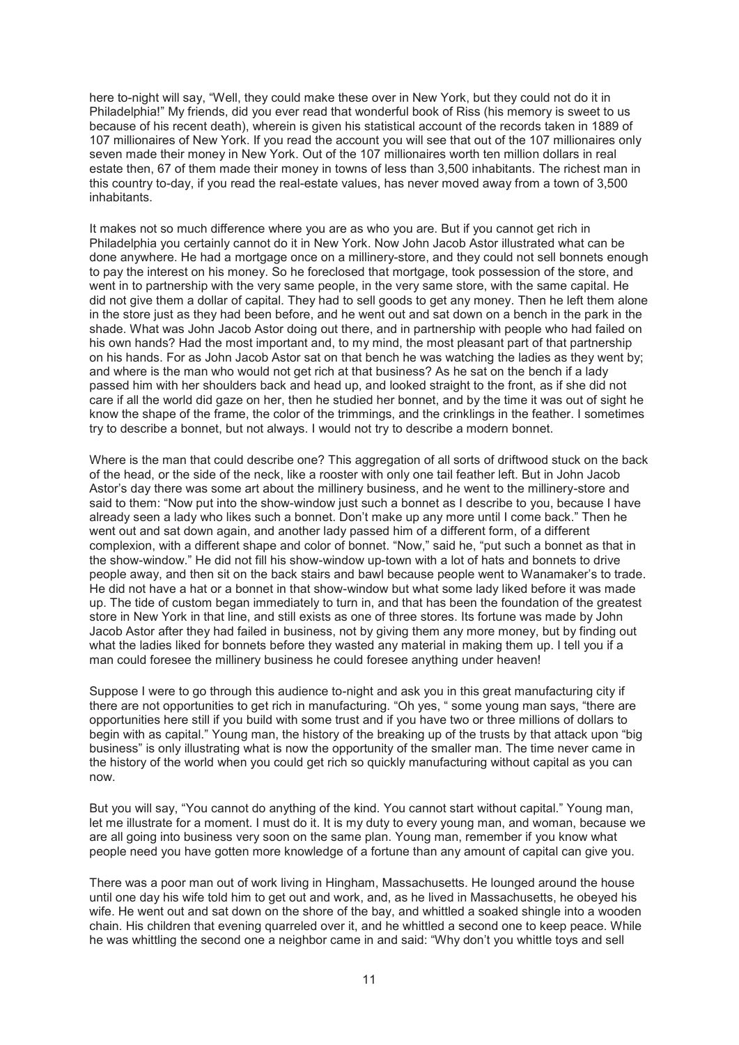here to-night will say, "Well, they could make these over in New York, but they could not do it in Philadelphia!" My friends, did you ever read that wonderful book of Riss (his memory is sweet to us because of his recent death), wherein is given his statistical account of the records taken in 1889 of 107 millionaires of New York. If you read the account you will see that out of the 107 millionaires only seven made their money in New York. Out of the 107 millionaires worth ten million dollars in real estate then, 67 of them made their money in towns of less than 3,500 inhabitants. The richest man in this country to-day, if you read the real-estate values, has never moved away from a town of 3,500 inhabitants.

It makes not so much difference where you are as who you are. But if you cannot get rich in Philadelphia you certainly cannot do it in New York. Now John Jacob Astor illustrated what can be done anywhere. He had a mortgage once on a millinery-store, and they could not sell bonnets enough to pay the interest on his money. So he foreclosed that mortgage, took possession of the store, and went in to partnership with the very same people, in the very same store, with the same capital. He did not give them a dollar of capital. They had to sell goods to get any money. Then he left them alone in the store just as they had been before, and he went out and sat down on a bench in the park in the shade. What was John Jacob Astor doing out there, and in partnership with people who had failed on his own hands? Had the most important and, to my mind, the most pleasant part of that partnership on his hands. For as John Jacob Astor sat on that bench he was watching the ladies as they went by; and where is the man who would not get rich at that business? As he sat on the bench if a lady passed him with her shoulders back and head up, and looked straight to the front, as if she did not care if all the world did gaze on her, then he studied her bonnet, and by the time it was out of sight he know the shape of the frame, the color of the trimmings, and the crinklings in the feather. I sometimes try to describe a bonnet, but not always. I would not try to describe a modern bonnet.

Where is the man that could describe one? This aggregation of all sorts of driftwood stuck on the back of the head, or the side of the neck, like a rooster with only one tail feather left. But in John Jacob Astor's day there was some art about the millinery business, and he went to the millinery-store and said to them: "Now put into the show-window just such a bonnet as I describe to you, because I have already seen a lady who likes such a bonnet. Don't make up any more until I come back." Then he went out and sat down again, and another lady passed him of a different form, of a different complexion, with a different shape and color of bonnet. "Now," said he, "put such a bonnet as that in the show-window." He did not fill his show-window up-town with a lot of hats and bonnets to drive people away, and then sit on the back stairs and bawl because people went to Wanamaker's to trade. He did not have a hat or a bonnet in that show-window but what some lady liked before it was made up. The tide of custom began immediately to turn in, and that has been the foundation of the greatest store in New York in that line, and still exists as one of three stores. Its fortune was made by John Jacob Astor after they had failed in business, not by giving them any more money, but by finding out what the ladies liked for bonnets before they wasted any material in making them up. I tell you if a man could foresee the millinery business he could foresee anything under heaven!

Suppose I were to go through this audience to-night and ask you in this great manufacturing city if there are not opportunities to get rich in manufacturing. "Oh yes, " some young man says, "there are opportunities here still if you build with some trust and if you have two or three millions of dollars to begin with as capital." Young man, the history of the breaking up of the trusts by that attack upon "big business" is only illustrating what is now the opportunity of the smaller man. The time never came in the history of the world when you could get rich so quickly manufacturing without capital as you can now.

But you will say, "You cannot do anything of the kind. You cannot start without capital." Young man, let me illustrate for a moment. I must do it. It is my duty to every young man, and woman, because we are all going into business very soon on the same plan. Young man, remember if you know what people need you have gotten more knowledge of a fortune than any amount of capital can give you.

There was a poor man out of work living in Hingham, Massachusetts. He lounged around the house until one day his wife told him to get out and work, and, as he lived in Massachusetts, he obeyed his wife. He went out and sat down on the shore of the bay, and whittled a soaked shingle into a wooden chain. His children that evening quarreled over it, and he whittled a second one to keep peace. While he was whittling the second one a neighbor came in and said: "Why don't you whittle toys and sell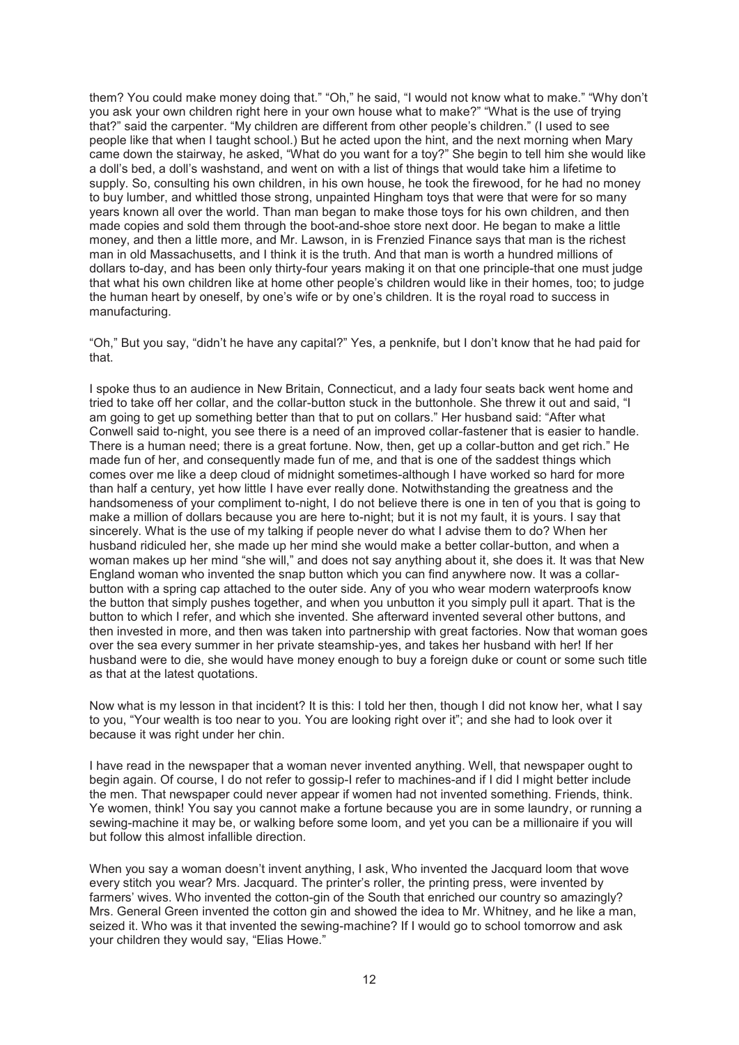them? You could make money doing that." "Oh," he said, "I would not know what to make." "Why don't you ask your own children right here in your own house what to make?" "What is the use of trying that?" said the carpenter. "My children are different from other people's children." (I used to see people like that when I taught school.) But he acted upon the hint, and the next morning when Mary came down the stairway, he asked, "What do you want for a toy?" She begin to tell him she would like a doll's bed, a doll's washstand, and went on with a list of things that would take him a lifetime to supply. So, consulting his own children, in his own house, he took the firewood, for he had no money to buy lumber, and whittled those strong, unpainted Hingham toys that were that were for so many years known all over the world. Than man began to make those toys for his own children, and then made copies and sold them through the boot-and-shoe store next door. He began to make a little money, and then a little more, and Mr. Lawson, in is Frenzied Finance says that man is the richest man in old Massachusetts, and I think it is the truth. And that man is worth a hundred millions of dollars to-day, and has been only thirty-four years making it on that one principle-that one must judge that what his own children like at home other people's children would like in their homes, too; to judge the human heart by oneself, by one's wife or by one's children. It is the royal road to success in manufacturing.

"Oh," But you say, "didn't he have any capital?" Yes, a penknife, but I don't know that he had paid for that.

I spoke thus to an audience in New Britain, Connecticut, and a lady four seats back went home and tried to take off her collar, and the collar-button stuck in the buttonhole. She threw it out and said, "I am going to get up something better than that to put on collars." Her husband said: "After what Conwell said to-night, you see there is a need of an improved collar-fastener that is easier to handle. There is a human need; there is a great fortune. Now, then, get up a collar-button and get rich." He made fun of her, and consequently made fun of me, and that is one of the saddest things which comes over me like a deep cloud of midnight sometimes-although I have worked so hard for more than half a century, yet how little I have ever really done. Notwithstanding the greatness and the handsomeness of your compliment to-night, I do not believe there is one in ten of you that is going to make a million of dollars because you are here to-night; but it is not my fault, it is yours. I say that sincerely. What is the use of my talking if people never do what I advise them to do? When her husband ridiculed her, she made up her mind she would make a better collar-button, and when a woman makes up her mind "she will," and does not say anything about it, she does it. It was that New England woman who invented the snap button which you can find anywhere now. It was a collarbutton with a spring cap attached to the outer side. Any of you who wear modern waterproofs know the button that simply pushes together, and when you unbutton it you simply pull it apart. That is the button to which I refer, and which she invented. She afterward invented several other buttons, and then invested in more, and then was taken into partnership with great factories. Now that woman goes over the sea every summer in her private steamship-yes, and takes her husband with her! If her husband were to die, she would have money enough to buy a foreign duke or count or some such title as that at the latest quotations.

Now what is my lesson in that incident? It is this: I told her then, though I did not know her, what I say to you, "Your wealth is too near to you. You are looking right over it"; and she had to look over it because it was right under her chin.

I have read in the newspaper that a woman never invented anything. Well, that newspaper ought to begin again. Of course, I do not refer to gossip-I refer to machines-and if I did I might better include the men. That newspaper could never appear if women had not invented something. Friends, think. Ye women, think! You say you cannot make a fortune because you are in some laundry, or running a sewing-machine it may be, or walking before some loom, and yet you can be a millionaire if you will but follow this almost infallible direction.

When you say a woman doesn't invent anything, I ask, Who invented the Jacquard loom that wove every stitch you wear? Mrs. Jacquard. The printer's roller, the printing press, were invented by farmers' wives. Who invented the cotton-gin of the South that enriched our country so amazingly? Mrs. General Green invented the cotton gin and showed the idea to Mr. Whitney, and he like a man, seized it. Who was it that invented the sewing-machine? If I would go to school tomorrow and ask your children they would say, "Elias Howe."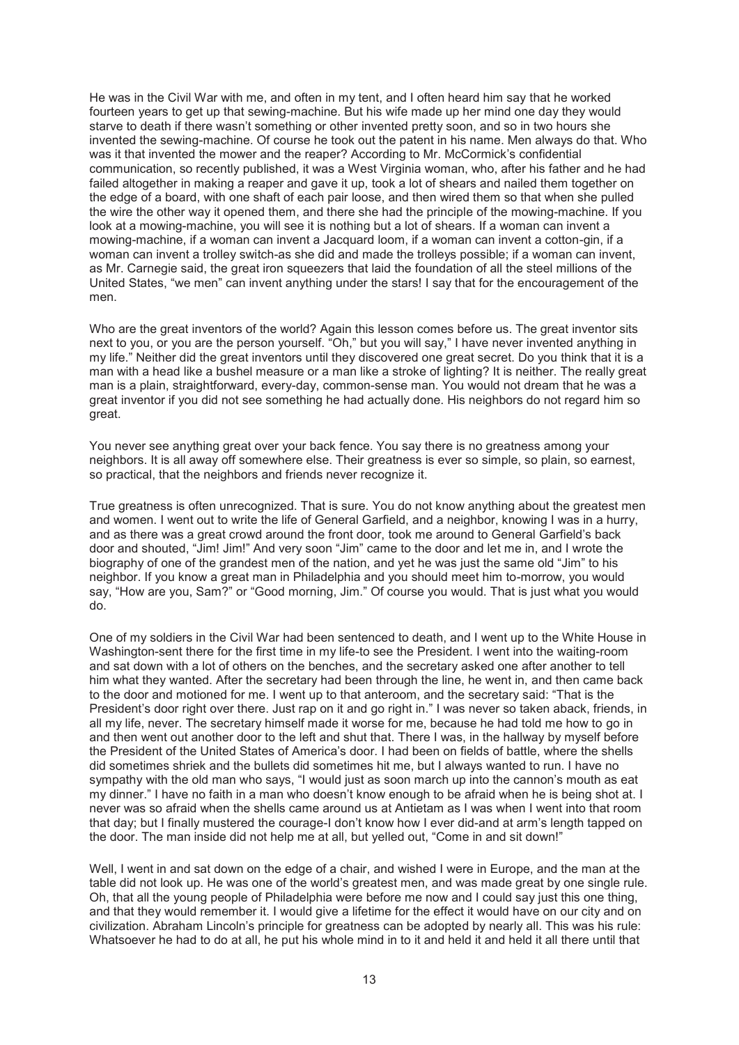He was in the Civil War with me, and often in my tent, and I often heard him say that he worked fourteen years to get up that sewing-machine. But his wife made up her mind one day they would starve to death if there wasn't something or other invented pretty soon, and so in two hours she invented the sewing-machine. Of course he took out the patent in his name. Men always do that. Who was it that invented the mower and the reaper? According to Mr. McCormick's confidential communication, so recently published, it was a West Virginia woman, who, after his father and he had failed altogether in making a reaper and gave it up, took a lot of shears and nailed them together on the edge of a board, with one shaft of each pair loose, and then wired them so that when she pulled the wire the other way it opened them, and there she had the principle of the mowing-machine. If you look at a mowing-machine, you will see it is nothing but a lot of shears. If a woman can invent a mowing-machine, if a woman can invent a Jacquard loom, if a woman can invent a cotton-gin, if a woman can invent a trolley switch-as she did and made the trolleys possible; if a woman can invent, as Mr. Carnegie said, the great iron squeezers that laid the foundation of all the steel millions of the United States, "we men" can invent anything under the stars! I say that for the encouragement of the men.

Who are the great inventors of the world? Again this lesson comes before us. The great inventor sits next to you, or you are the person yourself. "Oh," but you will say," I have never invented anything in my life." Neither did the great inventors until they discovered one great secret. Do you think that it is a man with a head like a bushel measure or a man like a stroke of lighting? It is neither. The really great man is a plain, straightforward, every-day, common-sense man. You would not dream that he was a great inventor if you did not see something he had actually done. His neighbors do not regard him so great.

You never see anything great over your back fence. You say there is no greatness among your neighbors. It is all away off somewhere else. Their greatness is ever so simple, so plain, so earnest, so practical, that the neighbors and friends never recognize it.

True greatness is often unrecognized. That is sure. You do not know anything about the greatest men and women. I went out to write the life of General Garfield, and a neighbor, knowing I was in a hurry, and as there was a great crowd around the front door, took me around to General Garfield's back door and shouted, "Jim! Jim!" And very soon "Jim" came to the door and let me in, and I wrote the biography of one of the grandest men of the nation, and yet he was just the same old "Jim" to his neighbor. If you know a great man in Philadelphia and you should meet him to-morrow, you would say, "How are you, Sam?" or "Good morning, Jim." Of course you would. That is just what you would do.

One of my soldiers in the Civil War had been sentenced to death, and I went up to the White House in Washington-sent there for the first time in my life-to see the President. I went into the waiting-room and sat down with a lot of others on the benches, and the secretary asked one after another to tell him what they wanted. After the secretary had been through the line, he went in, and then came back to the door and motioned for me. I went up to that anteroom, and the secretary said: "That is the President's door right over there. Just rap on it and go right in." I was never so taken aback, friends, in all my life, never. The secretary himself made it worse for me, because he had told me how to go in and then went out another door to the left and shut that. There I was, in the hallway by myself before the President of the United States of America's door. I had been on fields of battle, where the shells did sometimes shriek and the bullets did sometimes hit me, but I always wanted to run. I have no sympathy with the old man who says, "I would just as soon march up into the cannon's mouth as eat my dinner." I have no faith in a man who doesn't know enough to be afraid when he is being shot at. I never was so afraid when the shells came around us at Antietam as I was when I went into that room that day; but I finally mustered the courage-I don't know how I ever did-and at arm's length tapped on the door. The man inside did not help me at all, but yelled out, "Come in and sit down!"

Well, I went in and sat down on the edge of a chair, and wished I were in Europe, and the man at the table did not look up. He was one of the world's greatest men, and was made great by one single rule. Oh, that all the young people of Philadelphia were before me now and I could say just this one thing, and that they would remember it. I would give a lifetime for the effect it would have on our city and on civilization. Abraham Lincoln's principle for greatness can be adopted by nearly all. This was his rule: Whatsoever he had to do at all, he put his whole mind in to it and held it and held it all there until that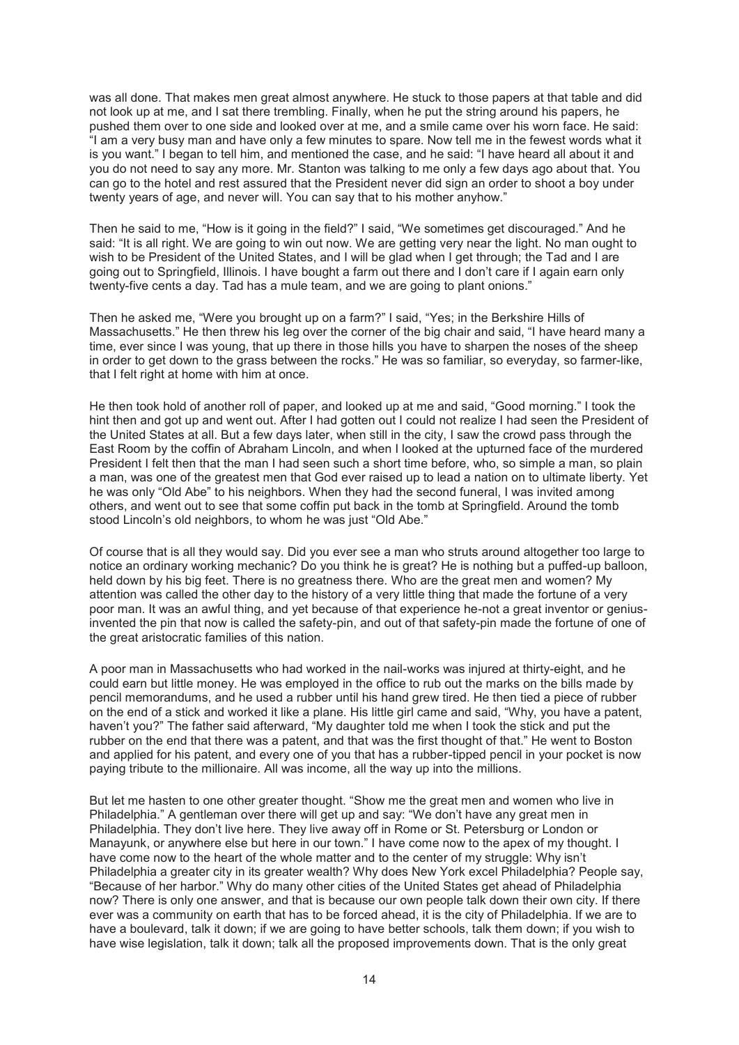was all done. That makes men great almost anywhere. He stuck to those papers at that table and did not look up at me, and I sat there trembling. Finally, when he put the string around his papers, he pushed them over to one side and looked over at me, and a smile came over his worn face. He said: "I am a very busy man and have only a few minutes to spare. Now tell me in the fewest words what it is you want." I began to tell him, and mentioned the case, and he said: "I have heard all about it and you do not need to say any more. Mr. Stanton was talking to me only a few days ago about that. You can go to the hotel and rest assured that the President never did sign an order to shoot a boy under twenty years of age, and never will. You can say that to his mother anyhow."

Then he said to me, "How is it going in the field?" I said, "We sometimes get discouraged." And he said: "It is all right. We are going to win out now. We are getting very near the light. No man ought to wish to be President of the United States, and I will be glad when I get through; the Tad and I are going out to Springfield, Illinois. I have bought a farm out there and I don't care if I again earn only twenty-five cents a day. Tad has a mule team, and we are going to plant onions."

Then he asked me, "Were you brought up on a farm?" I said, "Yes; in the Berkshire Hills of Massachusetts." He then threw his leg over the corner of the big chair and said, "I have heard many a time, ever since I was young, that up there in those hills you have to sharpen the noses of the sheep in order to get down to the grass between the rocks." He was so familiar, so everyday, so farmer-like, that I felt right at home with him at once.

He then took hold of another roll of paper, and looked up at me and said, "Good morning." I took the hint then and got up and went out. After I had gotten out I could not realize I had seen the President of the United States at all. But a few days later, when still in the city, I saw the crowd pass through the East Room by the coffin of Abraham Lincoln, and when I looked at the upturned face of the murdered President I felt then that the man I had seen such a short time before, who, so simple a man, so plain a man, was one of the greatest men that God ever raised up to lead a nation on to ultimate liberty. Yet he was only "Old Abe" to his neighbors. When they had the second funeral, I was invited among others, and went out to see that some coffin put back in the tomb at Springfield. Around the tomb stood Lincoln's old neighbors, to whom he was just "Old Abe."

Of course that is all they would say. Did you ever see a man who struts around altogether too large to notice an ordinary working mechanic? Do you think he is great? He is nothing but a puffed-up balloon, held down by his big feet. There is no greatness there. Who are the great men and women? My attention was called the other day to the history of a very little thing that made the fortune of a very poor man. It was an awful thing, and yet because of that experience he-not a great inventor or geniusinvented the pin that now is called the safety-pin, and out of that safety-pin made the fortune of one of the great aristocratic families of this nation.

A poor man in Massachusetts who had worked in the nail-works was injured at thirty-eight, and he could earn but little money. He was employed in the office to rub out the marks on the bills made by pencil memorandums, and he used a rubber until his hand grew tired. He then tied a piece of rubber on the end of a stick and worked it like a plane. His little girl came and said, "Why, you have a patent, haven't you?" The father said afterward, "My daughter told me when I took the stick and put the rubber on the end that there was a patent, and that was the first thought of that." He went to Boston and applied for his patent, and every one of you that has a rubber-tipped pencil in your pocket is now paying tribute to the millionaire. All was income, all the way up into the millions.

But let me hasten to one other greater thought. "Show me the great men and women who live in Philadelphia." A gentleman over there will get up and say: "We don't have any great men in Philadelphia. They don't live here. They live away off in Rome or St. Petersburg or London or Manayunk, or anywhere else but here in our town." I have come now to the apex of my thought. I have come now to the heart of the whole matter and to the center of my struggle: Why isn't Philadelphia a greater city in its greater wealth? Why does New York excel Philadelphia? People say, "Because of her harbor." Why do many other cities of the United States get ahead of Philadelphia now? There is only one answer, and that is because our own people talk down their own city. If there ever was a community on earth that has to be forced ahead, it is the city of Philadelphia. If we are to have a boulevard, talk it down; if we are going to have better schools, talk them down; if you wish to have wise legislation, talk it down; talk all the proposed improvements down. That is the only great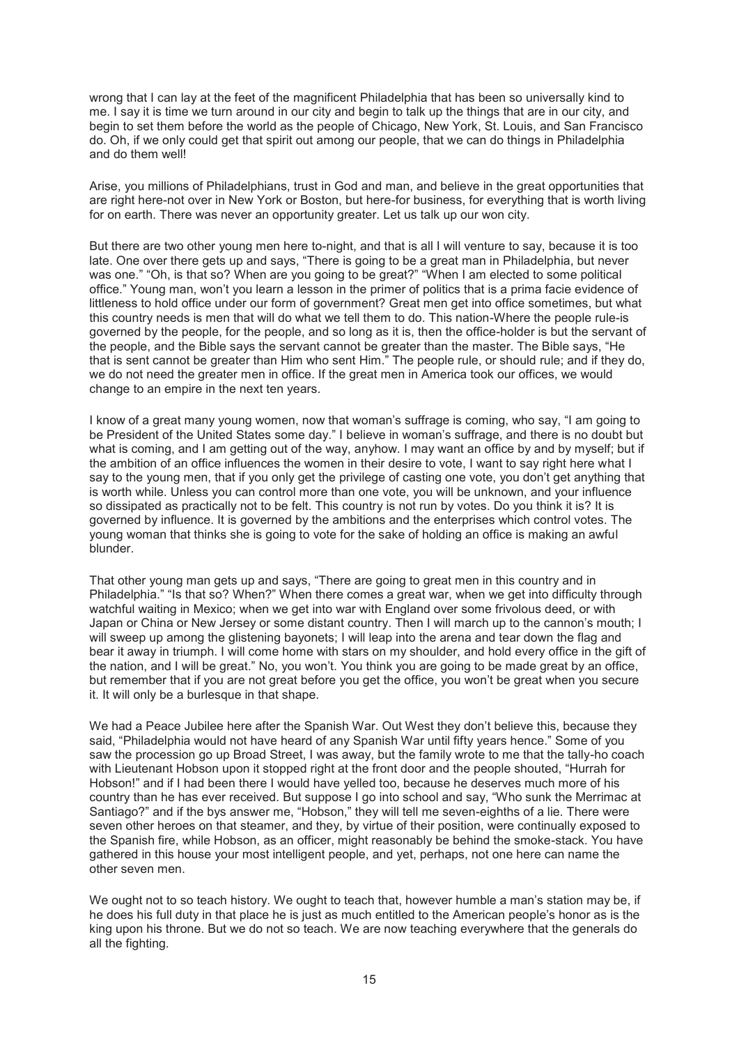wrong that I can lay at the feet of the magnificent Philadelphia that has been so universally kind to me. I say it is time we turn around in our city and begin to talk up the things that are in our city, and begin to set them before the world as the people of Chicago, New York, St. Louis, and San Francisco do. Oh, if we only could get that spirit out among our people, that we can do things in Philadelphia and do them well!

Arise, you millions of Philadelphians, trust in God and man, and believe in the great opportunities that are right here-not over in New York or Boston, but here-for business, for everything that is worth living for on earth. There was never an opportunity greater. Let us talk up our won city.

But there are two other young men here to-night, and that is all I will venture to say, because it is too late. One over there gets up and says, "There is going to be a great man in Philadelphia, but never was one." "Oh, is that so? When are you going to be great?" "When I am elected to some political office." Young man, won't you learn a lesson in the primer of politics that is a prima facie evidence of littleness to hold office under our form of government? Great men get into office sometimes, but what this country needs is men that will do what we tell them to do. This nation-Where the people rule-is governed by the people, for the people, and so long as it is, then the office-holder is but the servant of the people, and the Bible says the servant cannot be greater than the master. The Bible says, "He that is sent cannot be greater than Him who sent Him." The people rule, or should rule; and if they do, we do not need the greater men in office. If the great men in America took our offices, we would change to an empire in the next ten years.

I know of a great many young women, now that woman's suffrage is coming, who say, "I am going to be President of the United States some day." I believe in woman's suffrage, and there is no doubt but what is coming, and I am getting out of the way, anyhow. I may want an office by and by myself; but if the ambition of an office influences the women in their desire to vote, I want to say right here what I say to the young men, that if you only get the privilege of casting one vote, you don't get anything that is worth while. Unless you can control more than one vote, you will be unknown, and your influence so dissipated as practically not to be felt. This country is not run by votes. Do you think it is? It is governed by influence. It is governed by the ambitions and the enterprises which control votes. The young woman that thinks she is going to vote for the sake of holding an office is making an awful blunder.

That other young man gets up and says, "There are going to great men in this country and in Philadelphia." "Is that so? When?" When there comes a great war, when we get into difficulty through watchful waiting in Mexico; when we get into war with England over some frivolous deed, or with Japan or China or New Jersey or some distant country. Then I will march up to the cannon's mouth; I will sweep up among the glistening bayonets; I will leap into the arena and tear down the flag and bear it away in triumph. I will come home with stars on my shoulder, and hold every office in the gift of the nation, and I will be great." No, you won't. You think you are going to be made great by an office, but remember that if you are not great before you get the office, you won't be great when you secure it. It will only be a burlesque in that shape.

We had a Peace Jubilee here after the Spanish War. Out West they don't believe this, because they said, "Philadelphia would not have heard of any Spanish War until fifty years hence." Some of you saw the procession go up Broad Street, I was away, but the family wrote to me that the tally-ho coach with Lieutenant Hobson upon it stopped right at the front door and the people shouted, "Hurrah for Hobson!" and if I had been there I would have yelled too, because he deserves much more of his country than he has ever received. But suppose I go into school and say, "Who sunk the Merrimac at Santiago?" and if the bys answer me, "Hobson," they will tell me seven-eighths of a lie. There were seven other heroes on that steamer, and they, by virtue of their position, were continually exposed to the Spanish fire, while Hobson, as an officer, might reasonably be behind the smoke-stack. You have gathered in this house your most intelligent people, and yet, perhaps, not one here can name the other seven men.

We ought not to so teach history. We ought to teach that, however humble a man's station may be, if he does his full duty in that place he is just as much entitled to the American people's honor as is the king upon his throne. But we do not so teach. We are now teaching everywhere that the generals do all the fighting.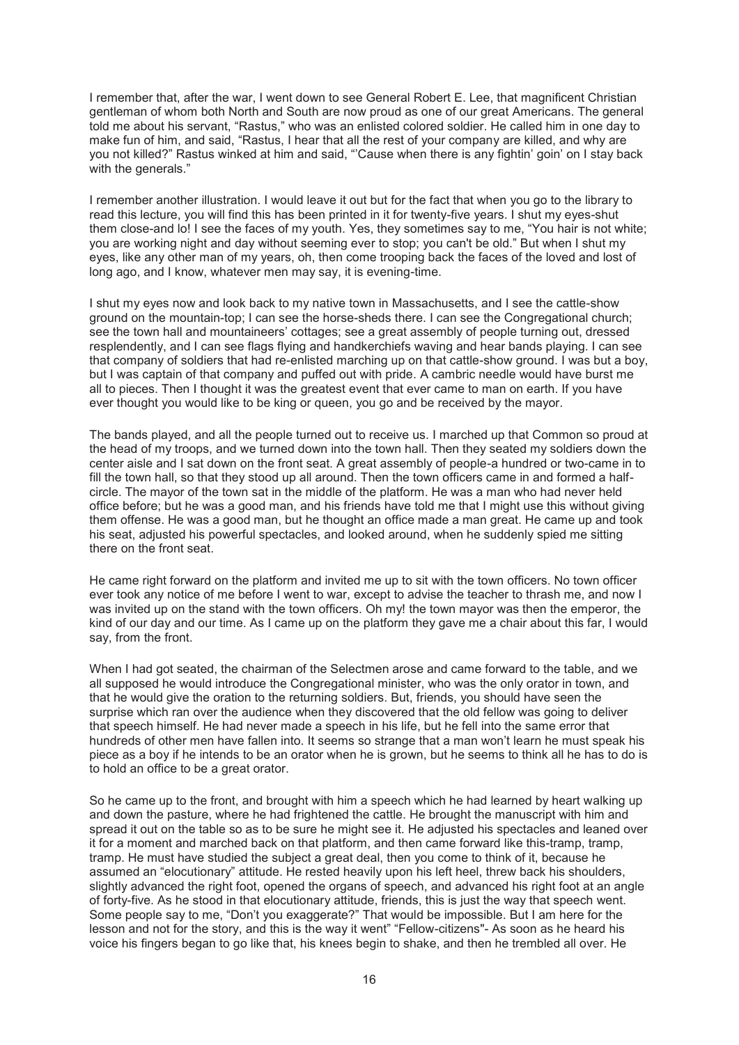I remember that, after the war, I went down to see General Robert E. Lee, that magnificent Christian gentleman of whom both North and South are now proud as one of our great Americans. The general told me about his servant, "Rastus," who was an enlisted colored soldier. He called him in one day to make fun of him, and said, "Rastus, I hear that all the rest of your company are killed, and why are you not killed?" Rastus winked at him and said, "'Cause when there is any fightin' goin' on I stay back with the generals."

I remember another illustration. I would leave it out but for the fact that when you go to the library to read this lecture, you will find this has been printed in it for twenty-five years. I shut my eyes-shut them close-and lo! I see the faces of my youth. Yes, they sometimes say to me, "You hair is not white; you are working night and day without seeming ever to stop; you can't be old." But when I shut my eyes, like any other man of my years, oh, then come trooping back the faces of the loved and lost of long ago, and I know, whatever men may say, it is evening-time.

I shut my eyes now and look back to my native town in Massachusetts, and I see the cattle-show ground on the mountain-top; I can see the horse-sheds there. I can see the Congregational church; see the town hall and mountaineers' cottages; see a great assembly of people turning out, dressed resplendently, and I can see flags flying and handkerchiefs waving and hear bands playing. I can see that company of soldiers that had re-enlisted marching up on that cattle-show ground. I was but a boy, but I was captain of that company and puffed out with pride. A cambric needle would have burst me all to pieces. Then I thought it was the greatest event that ever came to man on earth. If you have ever thought you would like to be king or queen, you go and be received by the mayor.

The bands played, and all the people turned out to receive us. I marched up that Common so proud at the head of my troops, and we turned down into the town hall. Then they seated my soldiers down the center aisle and I sat down on the front seat. A great assembly of people-a hundred or two-came in to fill the town hall, so that they stood up all around. Then the town officers came in and formed a halfcircle. The mayor of the town sat in the middle of the platform. He was a man who had never held office before; but he was a good man, and his friends have told me that I might use this without giving them offense. He was a good man, but he thought an office made a man great. He came up and took his seat, adjusted his powerful spectacles, and looked around, when he suddenly spied me sitting there on the front seat.

He came right forward on the platform and invited me up to sit with the town officers. No town officer ever took any notice of me before I went to war, except to advise the teacher to thrash me, and now I was invited up on the stand with the town officers. Oh my! the town mayor was then the emperor, the kind of our day and our time. As I came up on the platform they gave me a chair about this far, I would say, from the front.

When I had got seated, the chairman of the Selectmen arose and came forward to the table, and we all supposed he would introduce the Congregational minister, who was the only orator in town, and that he would give the oration to the returning soldiers. But, friends, you should have seen the surprise which ran over the audience when they discovered that the old fellow was going to deliver that speech himself. He had never made a speech in his life, but he fell into the same error that hundreds of other men have fallen into. It seems so strange that a man won't learn he must speak his piece as a boy if he intends to be an orator when he is grown, but he seems to think all he has to do is to hold an office to be a great orator.

So he came up to the front, and brought with him a speech which he had learned by heart walking up and down the pasture, where he had frightened the cattle. He brought the manuscript with him and spread it out on the table so as to be sure he might see it. He adjusted his spectacles and leaned over it for a moment and marched back on that platform, and then came forward like this-tramp, tramp, tramp. He must have studied the subject a great deal, then you come to think of it, because he assumed an "elocutionary" attitude. He rested heavily upon his left heel, threw back his shoulders, slightly advanced the right foot, opened the organs of speech, and advanced his right foot at an angle of forty-five. As he stood in that elocutionary attitude, friends, this is just the way that speech went. Some people say to me, "Don't you exaggerate?" That would be impossible. But I am here for the lesson and not for the story, and this is the way it went" "Fellow-citizens"- As soon as he heard his voice his fingers began to go like that, his knees begin to shake, and then he trembled all over. He